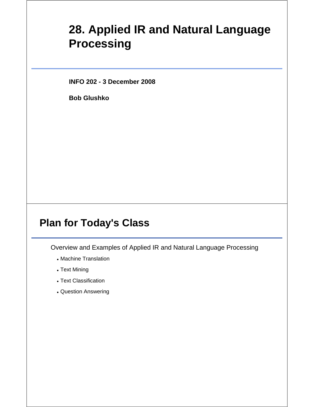# **28. Applied IR and Natural Language Processing**

**INFO 202 - 3 December 2008**

**Bob Glushko**

#### **Plan for Today's Class**

Overview and Examples of Applied IR and Natural Language Processing

- Machine Translation
- Text Mining
- Text Classification
- Question Answering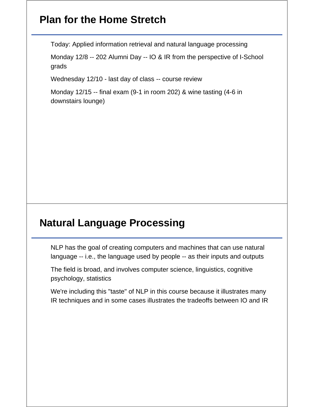### **Plan for the Home Stretch**

Today: Applied information retrieval and natural language processing

Monday 12/8 -- 202 Alumni Day -- IO & IR from the perspective of I-School grads

Wednesday 12/10 - last day of class -- course review

Monday 12/15 -- final exam (9-1 in room 202) & wine tasting (4-6 in downstairs lounge)

#### **Natural Language Processing**

NLP has the goal of creating computers and machines that can use natural language -- i.e., the language used by people -- as their inputs and outputs

The field is broad, and involves computer science, linguistics, cognitive psychology, statistics

We're including this "taste" of NLP in this course because it illustrates many IR techniques and in some cases illustrates the tradeoffs between IO and IR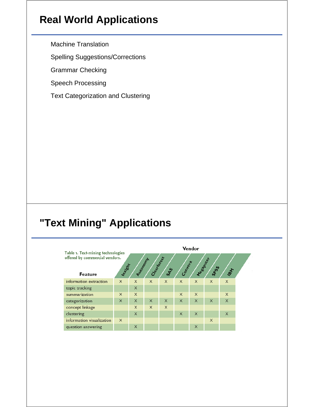### **Real World Applications**

Machine Translation

Spelling Suggestions/Corrections

Grammar Checking

Speech Processing

Text Categorization and Clustering

# **"Text Mining" Applications**

|                                                                     | Vendor   |                     |              |                |           |           |          |          |  |
|---------------------------------------------------------------------|----------|---------------------|--------------|----------------|-----------|-----------|----------|----------|--|
| Table 1. Text-mining technologies<br>offered by commercial vendors. | Intight  | <b>Automobility</b> | Cleanton est |                | Completed | Messaurer |          |          |  |
| Feature                                                             |          |                     |              | s <sub>8</sub> |           |           | Spos     | 1817     |  |
| information extraction                                              | $\times$ | $\times$            | $\times$     | $\times$       | $\times$  | $\times$  | $\times$ | $\times$ |  |
| topic tracking                                                      |          | $\times$            |              |                |           |           |          |          |  |
| summarization                                                       | X        | $\times$            |              |                | $\times$  | $\times$  |          | $\times$ |  |
| categorization                                                      | $\times$ | $\times$            | $\times$     | $\times$       | $\times$  | $\times$  | $\times$ | $\times$ |  |
| concept linkage                                                     |          | $\times$            | $\times$     | $\times$       |           |           |          |          |  |
| clustering                                                          |          | $\times$            |              |                | $\times$  | $\times$  |          | $\times$ |  |
| information visualization                                           | $\times$ |                     |              |                |           |           | $\times$ |          |  |
| question answering                                                  |          | $\times$            |              |                |           | $\times$  |          |          |  |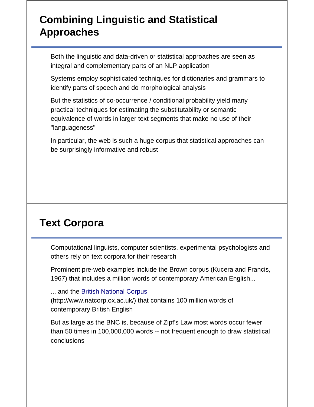## **Combining Linguistic and Statistical Approaches**

Both the linguistic and data-driven or statistical approaches are seen as integral and complementary parts of an NLP application

Systems employ sophisticated techniques for dictionaries and grammars to identify parts of speech and do morphological analysis

But the statistics of co-occurrence / conditional probability yield many practical techniques for estimating the substitutability or semantic equivalence of words in larger text segments that make no use of their "languageness"

In particular, the web is such a huge corpus that statistical approaches can be surprisingly informative and robust

## **Text Corpora**

Computational linguists, computer scientists, experimental psychologists and others rely on text corpora for their research

Prominent pre-web examples include the Brown corpus (Kucera and Francis, 1967) that includes a million words of contemporary American English...

... and the British National Corpus

(http://www.natcorp.ox.ac.uk/) that contains 100 million words of contemporary British English

But as large as the BNC is, because of Zipf's Law most words occur fewer than 50 times in 100,000,000 words -- not frequent enough to draw statistical conclusions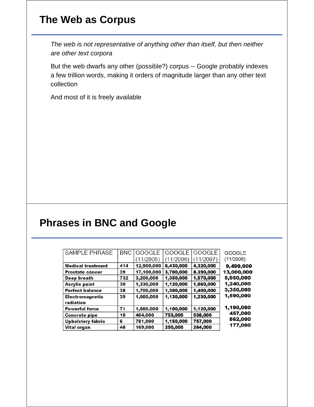## **The Web as Corpus**

*The web is not representative of anything other than itself, but then neither are other text corpora*

But the web dwarfs any other (possible?) corpus -- Google probably indexes a few trillion words, making it orders of magnitude larger than any other text collection

And most of it is freely available

#### **Phrases in BNC and Google**

| <b>SAMPLE PHRASE</b>     | <b>BNC</b> | <b>GOOGLE</b> | <b>GOOGLE</b> | <b>GOOGLE</b> | GOOGLE     |
|--------------------------|------------|---------------|---------------|---------------|------------|
|                          |            | (11/2005)     | 11/2006)      | 11/2007)      | (11/2008)  |
| <b>Medical treatment</b> | 414        | 12,900,000    | 6,430,000     | 4,320,000     | 9,490,000  |
| <b>Prostate cancer</b>   | 39         | 17,100,000    | 3,700,000     | 8.390,000     | 13,000,000 |
| Deep breath              | 732        | 3,200,000     | 1,350,000     | 1,570,000     | 5,950,000  |
| Acrylic paint            | 30         | 1,330,000     | 1,120,000     | 1,060,000     | 1,240,000  |
| <b>Perfect balance</b>   | 38         | 1,700,000     | 1,300,000     | 1,400,000     | 3,350,000  |
| Electromagnetic          | 39         | 1,660,000     | 1,130,000     | 1,230,000     | 1,590,000  |
| radiation                |            |               |               |               |            |
| <b>Powerful force</b>    | 71         | 1,660.000     | 1,100,000     | 1,120,000     | 1,190,000  |
| <b>Concrete pipe</b>     | 10         | 464,000       | 753,000       | 538,000       | 457,000    |
| <b>Upholstery fabric</b> | 6          | 781,000       | 1,150,000     | 757,000       | 862,000    |
| Vital organ              | 46         | 169,000       | 250,000       | 264,000       | 177,000    |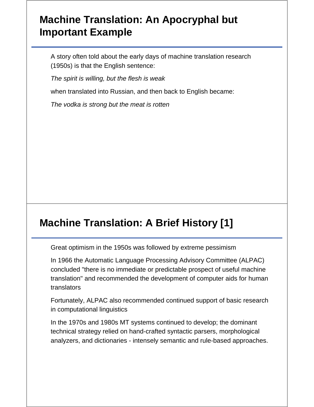## **Machine Translation: An Apocryphal but Important Example**

A story often told about the early days of machine translation research (1950s) is that the English sentence:

*The spirit is willing, but the flesh is weak*

when translated into Russian, and then back to English became:

*The vodka is strong but the meat is rotten*

## **Machine Translation: A Brief History [1]**

Great optimism in the 1950s was followed by extreme pessimism

In 1966 the Automatic Language Processing Advisory Committee (ALPAC) concluded "there is no immediate or predictable prospect of useful machine translation" and recommended the development of computer aids for human translators

Fortunately, ALPAC also recommended continued support of basic research in computational linguistics

In the 1970s and 1980s MT systems continued to develop; the dominant technical strategy relied on hand-crafted syntactic parsers, morphological analyzers, and dictionaries - intensely semantic and rule-based approaches.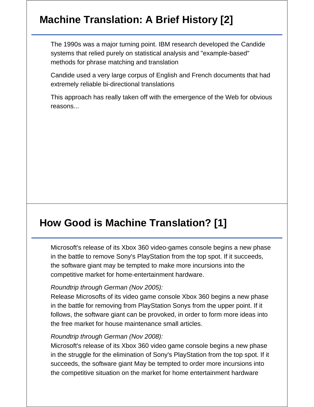# **Machine Translation: A Brief History [2]**

The 1990s was a major turning point. IBM research developed the Candide systems that relied purely on statistical analysis and "example-based" methods for phrase matching and translation

Candide used a very large corpus of English and French documents that had extremely reliable bi-directional translations

This approach has really taken off with the emergence of the Web for obvious reasons...

# **How Good is Machine Translation? [1]**

Microsoft's release of its Xbox 360 video-games console begins a new phase in the battle to remove Sony's PlayStation from the top spot. If it succeeds, the software giant may be tempted to make more incursions into the competitive market for home-entertainment hardware.

#### *Roundtrip through German (Nov 2005):*

Release Microsofts of its video game console Xbox 360 begins a new phase in the battle for removing from PlayStation Sonys from the upper point. If it follows, the software giant can be provoked, in order to form more ideas into the free market for house maintenance small articles.

#### *Roundtrip through German (Nov 2008):*

Microsoft's release of its Xbox 360 video game console begins a new phase in the struggle for the elimination of Sony's PlayStation from the top spot. If it succeeds, the software giant May be tempted to order more incursions into the competitive situation on the market for home entertainment hardware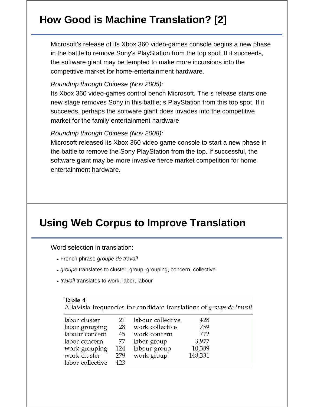# **How Good is Machine Translation? [2]**

Microsoft's release of its Xbox 360 video-games console begins a new phase in the battle to remove Sony's PlayStation from the top spot. If it succeeds, the software giant may be tempted to make more incursions into the competitive market for home-entertainment hardware.

#### *Roundtrip through Chinese (Nov 2005):*

Its Xbox 360 video-games control bench Microsoft. The s release starts one new stage removes Sony in this battle; s PlayStation from this top spot. If it succeeds, perhaps the software giant does invades into the competitive market for the family entertainment hardware

#### *Roundtrip through Chinese (Nov 2008):*

Microsoft released its Xbox 360 video game console to start a new phase in the battle to remove the Sony PlayStation from the top. If successful, the software giant may be more invasive fierce market competition for home entertainment hardware.

## **Using Web Corpus to Improve Translation**

Word selection in translation:

- French phrase *groupe de travail*
- *groupe* translates to cluster, group, grouping, concern, collective
- *travail* translates to work, labor, labour

#### Table 4

AltaVista frequencies for candidate translations of groupe de travail.

| labor cluster    | 21  | labour collective | 428     |
|------------------|-----|-------------------|---------|
| labor grouping   | 28  | work collective   | 759     |
| labour concern   | 45. | work concern      | 772     |
| labor concern    | 77  | labor group       | 3.977   |
| work grouping    | 124 | labour group      | 10,389  |
| work cluster     | 279 | work group        | 148,331 |
| labor collective | 423 |                   |         |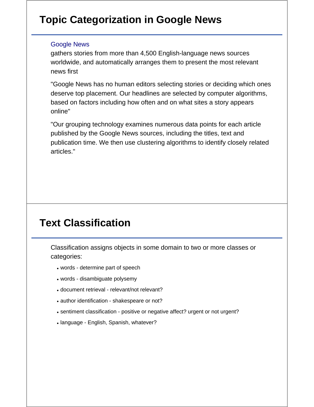# **Topic Categorization in Google News**

#### Google News

gathers stories from more than 4,500 English-language news sources worldwide, and automatically arranges them to present the most relevant news first

"Google News has no human editors selecting stories or deciding which ones deserve top placement. Our headlines are selected by computer algorithms, based on factors including how often and on what sites a story appears online"

"Our grouping technology examines numerous data points for each article published by the Google News sources, including the titles, text and publication time. We then use clustering algorithms to identify closely related articles."

#### **Text Classification**

Classification assigns objects in some domain to two or more classes or categories:

- words determine part of speech
- words disambiguate polysemy
- document retrieval relevant/not relevant?
- author identification shakespeare or not?
- sentiment classification positive or negative affect? urgent or not urgent?
- language English, Spanish, whatever?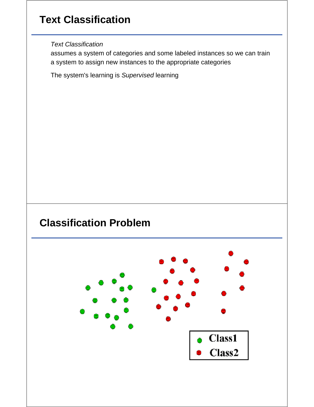# **Text Classification**

*Text Classification*

assumes a system of categories and some labeled instances so we can train a system to assign new instances to the appropriate categories

The system's learning is *Supervised* learning

#### **Classification Problem**

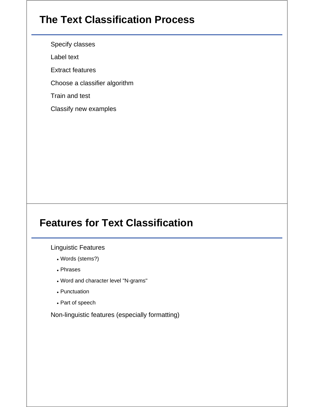## **The Text Classification Process**

Specify classes

Label text

Extract features

Choose a classifier algorithm

Train and test

Classify new examples

## **Features for Text Classification**

Linguistic Features

- Words (stems?)
- Phrases
- Word and character level "N-grams"
- Punctuation
- Part of speech

Non-linguistic features (especially formatting)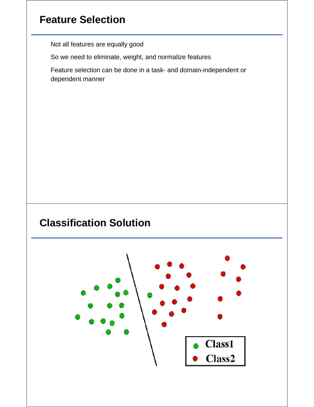# **Feature Selection**

Not all features are equally good

So we need to eliminate, weight, and normalize features

Feature selection can be done in a task- and domain-independent or dependent manner

# **Classification Solution**

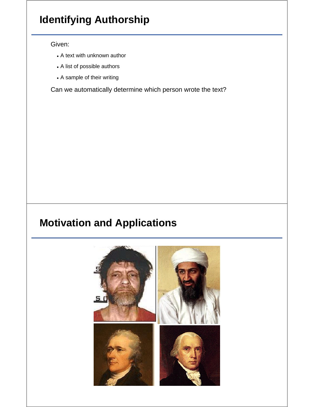# **Identifying Authorship**

#### Given:

- A text with unknown author
- A list of possible authors
- A sample of their writing

Can we automatically determine which person wrote the text?

## **Motivation and Applications**

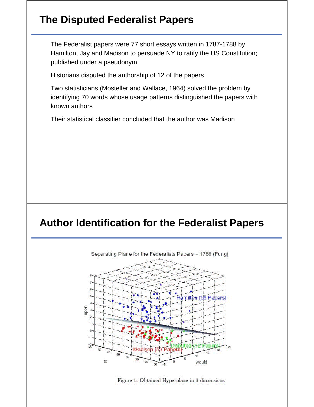#### **The Disputed Federalist Papers**

The Federalist papers were 77 short essays written in 1787-1788 by Hamilton, Jay and Madison to persuade NY to ratify the US Constitution; published under a pseudonym

Historians disputed the authorship of 12 of the papers

Two statisticians (Mosteller and Wallace, 1964) solved the problem by identifying 70 words whose usage patterns distinguished the papers with known authors

Their statistical classifier concluded that the author was Madison

#### **Author Identification for the Federalist Papers**



Figure 1: Obtained Hyperplane in 3 dimensions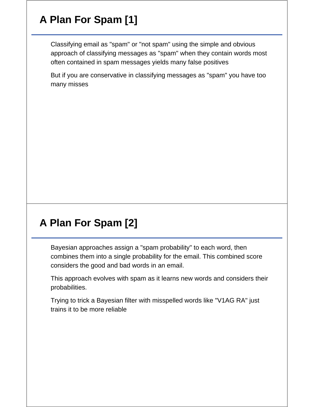# **A Plan For Spam [1]**

Classifying email as "spam" or "not spam" using the simple and obvious approach of classifying messages as "spam" when they contain words most often contained in spam messages yields many false positives

But if you are conservative in classifying messages as "spam" you have too many misses

# **A Plan For Spam [2]**

Bayesian approaches assign a "spam probability" to each word, then combines them into a single probability for the email. This combined score considers the good and bad words in an email.

This approach evolves with spam as it learns new words and considers their probabilities.

Trying to trick a Bayesian filter with misspelled words like "V1AG RA" just trains it to be more reliable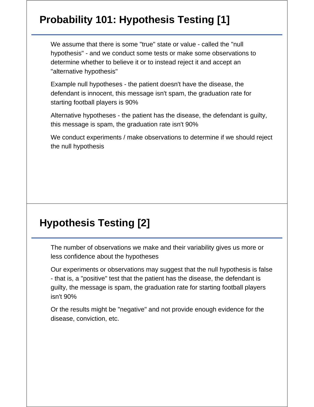# **Probability 101: Hypothesis Testing [1]**

We assume that there is some "true" state or value - called the "null hypothesis" - and we conduct some tests or make some observations to determine whether to believe it or to instead reject it and accept an "alternative hypothesis"

Example null hypotheses - the patient doesn't have the disease, the defendant is innocent, this message isn't spam, the graduation rate for starting football players is 90%

Alternative hypotheses - the patient has the disease, the defendant is guilty, this message is spam, the graduation rate isn't 90%

We conduct experiments / make observations to determine if we should reject the null hypothesis

#### **Hypothesis Testing [2]**

The number of observations we make and their variability gives us more or less confidence about the hypotheses

Our experiments or observations may suggest that the null hypothesis is false - that is, a "positive" test that the patient has the disease, the defendant is guilty, the message is spam, the graduation rate for starting football players isn't 90%

Or the results might be "negative" and not provide enough evidence for the disease, conviction, etc.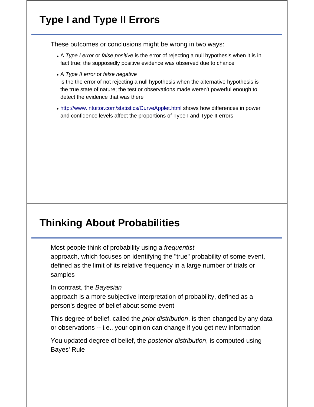# **Type I and Type II Errors**

These outcomes or conclusions might be wrong in two ways:

- A *Type I error* or *false positive* is the error of rejecting a null hypothesis when it is in fact true; the supposedly positive evidence was observed due to chance
- A *Type II error* or *false negative*

is the the error of not rejecting a null hypothesis when the alternative hypothesis is the true state of nature; the test or observations made weren't powerful enough to detect the evidence that was there

http://www.intuitor.com/statistics/CurveApplet.html shows how differences in power and confidence levels affect the proportions of Type I and Type II errors

# **Thinking About Probabilities**

Most people think of probability using a *frequentist* approach, which focuses on identifying the "true" probability of some event, defined as the limit of its relative frequency in a large number of trials or samples

In contrast, the *Bayesian*

approach is a more subjective interpretation of probability, defined as a person's degree of belief about some event

This degree of belief, called the *prior distribution*, is then changed by any data or observations -- i.e., your opinion can change if you get new information

You updated degree of belief, the *posterior distribution*, is computed using Bayes' Rule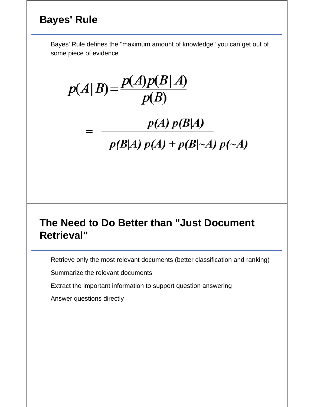# **Bayes' Rule**

Bayes' Rule defines the "maximum amount of knowledge" you can get out of some piece of evidence

 $p(A|B) = \frac{p(A)p(B|A)}{p(B)}$ 

 $p(A) p(B|A)$  $p(B|A) p(A) + p(B|\sim A) p(\sim A)$ 

#### **The Need to Do Better than "Just Document Retrieval"**

Retrieve only the most relevant documents (better classification and ranking)

Summarize the relevant documents

Extract the important information to support question answering

Answer questions directly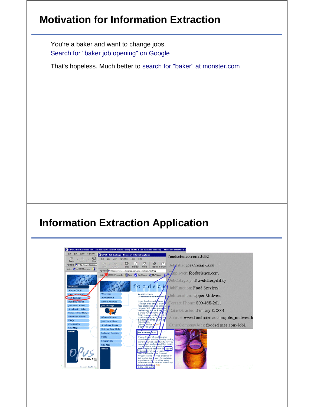## **Motivation for Information Extraction**

You're a baker and want to change jobs. Search for "baker job opening" on Google

That's hopeless. Much better to search for "baker" at monster.com

# **Information Extraction Application**

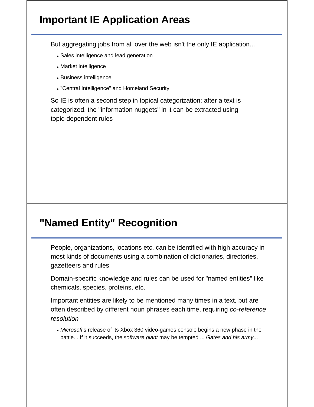#### **Important IE Application Areas**

But aggregating jobs from all over the web isn't the only IE application...

- Sales intelligence and lead generation
- Market intelligence
- Business intelligence
- "Central Intelligence" and Homeland Security

So IE is often a second step in topical categorization; after a text is categorized, the "information nuggets" in it can be extracted using topic-dependent rules

## **"Named Entity" Recognition**

People, organizations, locations etc. can be identified with high accuracy in most kinds of documents using a combination of dictionaries, directories, gazetteers and rules

Domain-specific knowledge and rules can be used for "named entities" like chemicals, species, proteins, etc.

Important entities are likely to be mentioned many times in a text, but are often described by different noun phrases each time, requiring *co-reference resolution*

*Microsoft*'s release of its Xbox 360 video-games console begins a new phase in the battle... If it succeeds, the *software giant* may be tempted ... *Gates and his army*...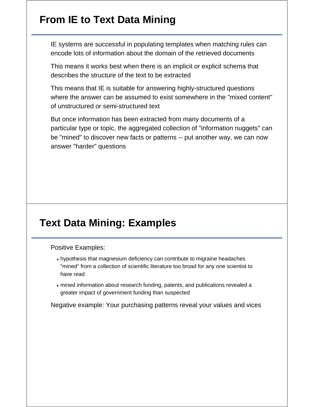## **From IE to Text Data Mining**

IE systems are successful in populating templates when matching rules can encode lots of information about the domain of the retrieved documents

This means it works best when there is an implicit or explicit schema that describes the structure of the text to be extracted

This means that IE is suitable for answering highly-structured questions where the answer can be assumed to exist somewhere in the "mixed content" of unstructured or semi-structured text

But once information has been extracted from many documents of a particular type or topic, the aggregated collection of "information nuggets" can be "mined" to discover new facts or patterns -- put another way, we can now answer "harder" questions

#### **Text Data Mining: Examples**

Positive Examples:

- hypothesis that magnesium deficiency can contribute to migraine headaches "mined" from a collection of scientific literature too broad for any one scientist to have read
- mined information about research funding, patents, and publications revealed a greater impact of government funding than suspected

Negative example: Your purchasing patterns reveal your values and vices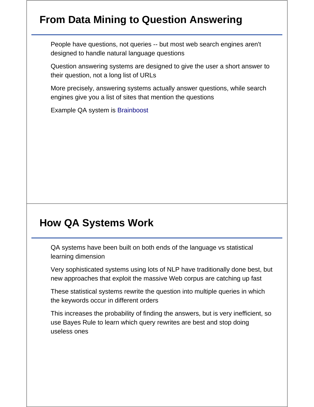# **From Data Mining to Question Answering**

People have questions, not queries -- but most web search engines aren't designed to handle natural language questions

Question answering systems are designed to give the user a short answer to their question, not a long list of URLs

More precisely, answering systems actually answer questions, while search engines give you a list of sites that mention the questions

Example QA system is Brainboost

#### **How QA Systems Work**

QA systems have been built on both ends of the language vs statistical learning dimension

Very sophisticated systems using lots of NLP have traditionally done best, but new approaches that exploit the massive Web corpus are catching up fast

These statistical systems rewrite the question into multiple queries in which the keywords occur in different orders

This increases the probability of finding the answers, but is very inefficient, so use Bayes Rule to learn which query rewrites are best and stop doing useless ones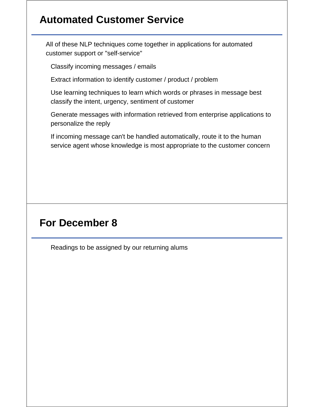## **Automated Customer Service**

All of these NLP techniques come together in applications for automated customer support or "self-service"

Classify incoming messages / emails

Extract information to identify customer / product / problem

Use learning techniques to learn which words or phrases in message best classify the intent, urgency, sentiment of customer

Generate messages with information retrieved from enterprise applications to personalize the reply

If incoming message can't be handled automatically, route it to the human service agent whose knowledge is most appropriate to the customer concern

## **For December 8**

Readings to be assigned by our returning alums